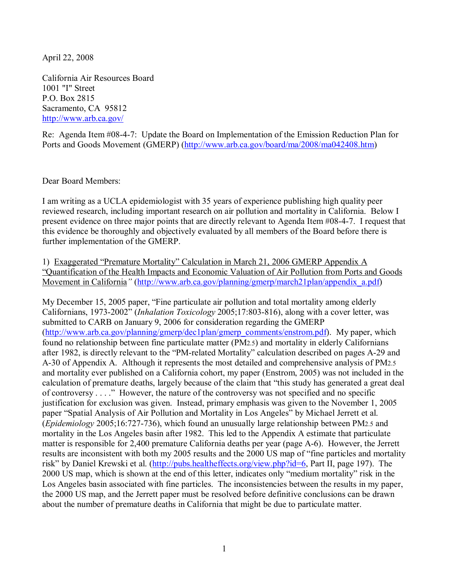April 22, 2008

California Air Resources Board 1001 "I" Street P.O. Box 2815 Sacramento, CA 95812 http://www.arb.ca.gov/

Re: Agenda Item #08-4-7: Update the Board on Implementation of the Emission Reduction Plan for Ports and Goods Movement (GMERP) (http://www.arb.ca.gov/board/ma/2008/ma042408.htm)

Dear Board Members:

I am writing as a UCLA epidemiologist with 35 years of experience publishing high quality peer reviewed research, including important research on air pollution and mortality in California. Below I present evidence on three major points that are directly relevant to Agenda Item #08-4-7. I request that this evidence be thoroughly and objectively evaluated by all members of the Board before there is further implementation of the GMERP.

1) Exaggerated "Premature Mortality" Calculation in March 21, 2006 GMERP Appendix A "Quantification of the Health Impacts and Economic Valuation of Air Pollution from Ports and Goods Movement in California*"* (http://www.arb.ca.gov/planning/gmerp/march21plan/appendix\_a.pdf)

My December 15, 2005 paper, "Fine particulate air pollution and total mortality among elderly Californians, 1973-2002" (*Inhalation Toxicology* 2005;17:803-816), along with a cover letter, was submitted to CARB on January 9, 2006 for consideration regarding the GMERP (http://www.arb.ca.gov/planning/gmerp/dec1plan/gmerp\_comments/enstrom.pdf). My paper, which found no relationship between fine particulate matter (PM2.5) and mortality in elderly Californians after 1982, is directly relevant to the "PM-related Mortality" calculation described on pages A-29 and A-30 of Appendix A. Although it represents the most detailed and comprehensive analysis of PM2.5 and mortality ever published on a California cohort, my paper (Enstrom, 2005) was not included in the calculation of premature deaths, largely because of the claim that "this study has generated a great deal of controversy . . . ." However, the nature of the controversy was not specified and no specific justification for exclusion was given. Instead, primary emphasis was given to the November 1, 2005 paper "Spatial Analysis of Air Pollution and Mortality in Los Angeles" by Michael Jerrett et al. (*Epidemiology* 2005;16:727-736), which found an unusually large relationship between PM2.5 and mortality in the Los Angeles basin after 1982. This led to the Appendix A estimate that particulate matter is responsible for 2,400 premature California deaths per year (page A-6). However, the Jerrett results are inconsistent with both my 2005 results and the 2000 US map of "fine particles and mortality risk" by Daniel Krewski et al. (http://pubs.healtheffects.org/view.php?id=6, Part II, page 197). The 2000 US map, which is shown at the end of this letter, indicates only "medium mortality" risk in the Los Angeles basin associated with fine particles. The inconsistencies between the results in my paper, the 2000 US map, and the Jerrett paper must be resolved before definitive conclusions can be drawn about the number of premature deaths in California that might be due to particulate matter.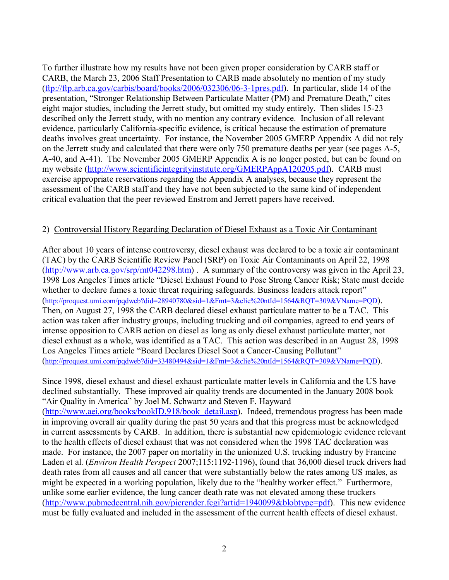To further illustrate how my results have not been given proper consideration by CARB staff or CARB, the March 23, 2006 Staff Presentation to CARB made absolutely no mention of my study (ftp://ftp.arb.ca.gov/carbis/board/books/2006/032306/06-3-1pres.pdf). In particular, slide 14 of the presentation, "Stronger Relationship Between Particulate Matter (PM) and Premature Death," cites eight major studies, including the Jerrett study, but omitted my study entirely. Then slides 15-23 described only the Jerrett study, with no mention any contrary evidence. Inclusion of all relevant evidence, particularly California-specific evidence, is critical because the estimation of premature deaths involves great uncertainty. For instance, the November 2005 GMERP Appendix A did not rely on the Jerrett study and calculated that there were only 750 premature deaths per year (see pages A-5, A-40, and A-41). The November 2005 GMERP Appendix A is no longer posted, but can be found on my website (http://www.scientificintegrityinstitute.org/GMERPAppA120205.pdf). CARB must exercise appropriate reservations regarding the Appendix A analyses, because they represent the assessment of the CARB staff and they have not been subjected to the same kind of independent critical evaluation that the peer reviewed Enstrom and Jerrett papers have received.

## 2) Controversial History Regarding Declaration of Diesel Exhaust as a Toxic Air Contaminant

After about 10 years of intense controversy, diesel exhaust was declared to be a toxic air contaminant (TAC) by the CARB Scientific Review Panel (SRP) on Toxic Air Contaminants on April 22, 1998 (http://www.arb.ca.gov/srp/mt042298.htm) . A summary of the controversy was given in the April 23, 1998 Los Angeles Times article "Diesel Exhaust Found to Pose Strong Cancer Risk; State must decide whether to declare fumes a toxic threat requiring safeguards. Business leaders attack report" (http://proquest.umi.com/pqdweb?did=28940780&sid=1&Fmt=3&clie%20ntId=1564&RQT=309&VName=PQD). Then, on August 27, 1998 the CARB declared diesel exhaust particulate matter to be a TAC. This action was taken after industry groups, including trucking and oil companies, agreed to end years of intense opposition to CARB action on diesel as long as only diesel exhaust particulate matter, not diesel exhaust as a whole, was identified as a TAC. This action was described in an August 28, 1998 Los Angeles Times article "Board Declares Diesel Soot a Cancer-Causing Pollutant" (http://proquest.umi.com/pqdweb?did=33480494&sid=1&Fmt=3&clie%20ntId=1564&RQT=309&VName=PQD).

Since 1998, diesel exhaust and diesel exhaust particulate matter levels in California and the US have declined substantially. These improved air quality trends are documented in the January 2008 book "Air Quality in America" by Joel M. Schwartz and Steven F. Hayward (http://www.aei.org/books/bookID.918/book\_detail.asp). Indeed, tremendous progress has been made in improving overall air quality during the past 50 years and that this progress must be acknowledged in current assessments by CARB. In addition, there is substantial new epidemiologic evidence relevant to the health effects of diesel exhaust that was not considered when the 1998 TAC declaration was made. For instance, the 2007 paper on mortality in the unionized U.S. trucking industry by Francine Laden et al. (*Environ Health Perspect* 2007;115:1192-1196), found that 36,000 diesel truck drivers had death rates from all causes and all cancer that were substantially below the rates among US males, as might be expected in a working population, likely due to the "healthy worker effect." Furthermore, unlike some earlier evidence, the lung cancer death rate was not elevated among these truckers (http://www.pubmedcentral.nih.gov/picrender.fcgi?artid=1940099&blobtype=pdf). This new evidence must be fully evaluated and included in the assessment of the current health effects of diesel exhaust.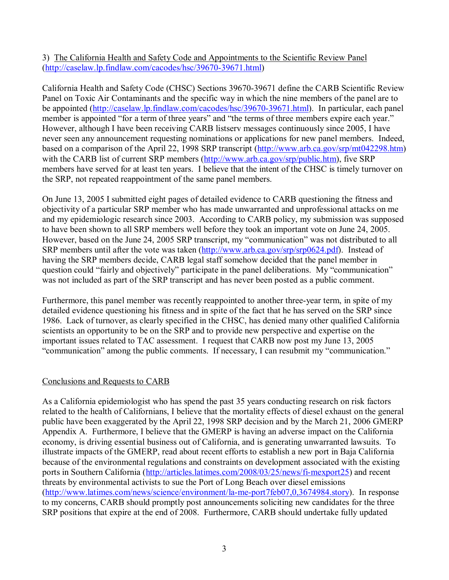3) The California Health and Safety Code and Appointments to the Scientific Review Panel (http://caselaw.lp.findlaw.com/cacodes/hsc/39670-39671.html)

California Health and Safety Code (CHSC) Sections 39670-39671 define the CARB Scientific Review Panel on Toxic Air Contaminants and the specific way in which the nine members of the panel are to be appointed (http://caselaw.lp.findlaw.com/cacodes/hsc/39670-39671.html). In particular, each panel member is appointed "for a term of three years" and "the terms of three members expire each year." However, although I have been receiving CARB listserv messages continuously since 2005, I have never seen any announcement requesting nominations or applications for new panel members. Indeed, based on a comparison of the April 22, 1998 SRP transcript (http://www.arb.ca.gov/srp/mt042298.htm) with the CARB list of current SRP members (http://www.arb.ca.gov/srp/public.htm), five SRP members have served for at least ten years. I believe that the intent of the CHSC is timely turnover on the SRP, not repeated reappointment of the same panel members.

On June 13, 2005 I submitted eight pages of detailed evidence to CARB questioning the fitness and objectivity of a particular SRP member who has made unwarranted and unprofessional attacks on me and my epidemiologic research since 2003. According to CARB policy, my submission was supposed to have been shown to all SRP members well before they took an important vote on June 24, 2005. However, based on the June 24, 2005 SRP transcript, my "communication" was not distributed to all SRP members until after the vote was taken (http://www.arb.ca.gov/srp/srp0624.pdf). Instead of having the SRP members decide, CARB legal staff somehow decided that the panel member in question could "fairly and objectively" participate in the panel deliberations. My "communication" was not included as part of the SRP transcript and has never been posted as a public comment.

Furthermore, this panel member was recently reappointed to another three-year term, in spite of my detailed evidence questioning his fitness and in spite of the fact that he has served on the SRP since 1986. Lack of turnover, as clearly specified in the CHSC, has denied many other qualified California scientists an opportunity to be on the SRP and to provide new perspective and expertise on the important issues related to TAC assessment. I request that CARB now post my June 13, 2005 "communication" among the public comments. If necessary, I can resubmit my "communication."

## Conclusions and Requests to CARB

As a California epidemiologist who has spend the past 35 years conducting research on risk factors related to the health of Californians, I believe that the mortality effects of diesel exhaust on the general public have been exaggerated by the April 22, 1998 SRP decision and by the March 21, 2006 GMERP Appendix A. Furthermore, I believe that the GMERP is having an adverse impact on the California economy, is driving essential business out of California, and is generating unwarranted lawsuits. To illustrate impacts of the GMERP, read about recent efforts to establish a new port in Baja California because of the environmental regulations and constraints on development associated with the existing ports in Southern California (http://articles.latimes.com/2008/03/25/news/fi-mexport25) and recent threats by environmental activists to sue the Port of Long Beach over diesel emissions (http://www.latimes.com/news/science/environment/la-me-port7feb07,0,3674984.story). In response to my concerns, CARB should promptly post announcements soliciting new candidates for the three SRP positions that expire at the end of 2008. Furthermore, CARB should undertake fully updated